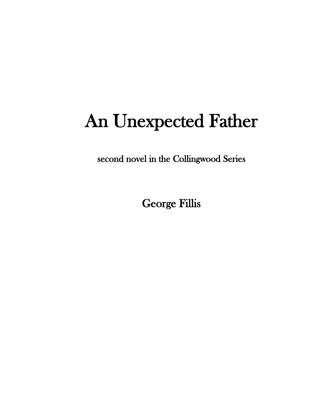## An Unexpected Father

second novel in the Collingwood Series

George Fillis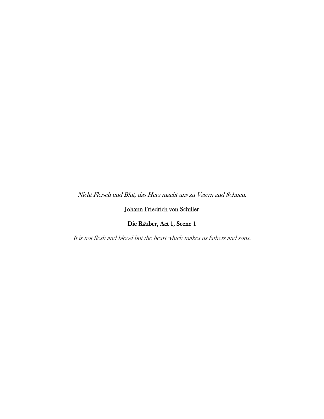Nicht Fleisch und Blut, das Herz macht uns zu Vätern and Söhnen.

## Johann Friedrich von Schiller

## Die Räuber, Act 1, Scene 1

It is not flesh and blood but the heart which makes us fathers and sons.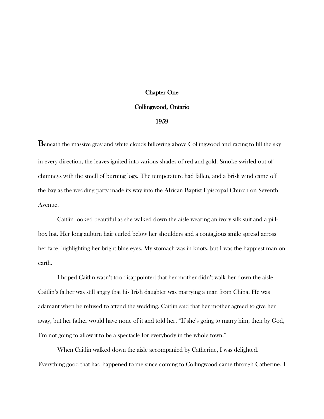## Chapter One Collingwood, Ontario 1959

**B**eneath the massive gray and white clouds billowing above Collingwood and racing to fill the sky in every direction, the leaves ignited into various shades of red and gold. Smoke swirled out of chimneys with the smell of burning logs. The temperature had fallen, and a brisk wind came off the bay as the wedding party made its way into the African Baptist Episcopal Church on Seventh Avenue.

Caitlin looked beautiful as she walked down the aisle wearing an ivory silk suit and a pillbox hat. Her long auburn hair curled below her shoulders and a contagious smile spread across her face, highlighting her bright blue eyes. My stomach was in knots, but I was the happiest man on earth.

I hoped Caitlin wasn't too disappointed that her mother didn't walk her down the aisle. Caitlin's father was still angry that his Irish daughter was marrying a man from China. He was adamant when he refused to attend the wedding. Caitlin said that her mother agreed to give her away, but her father would have none of it and told her, "If she's going to marry him, then by God, I'm not going to allow it to be a spectacle for everybody in the whole town."

When Caitlin walked down the aisle accompanied by Catherine, I was delighted. Everything good that had happened to me since coming to Collingwood came through Catherine. I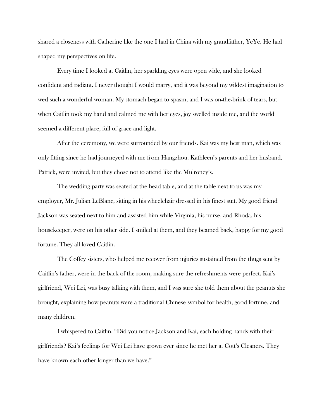shared a closeness with Catherine like the one I had in China with my grandfather, YeYe. He had shaped my perspectives on life.

Every time I looked at Caitlin, her sparkling eyes were open wide, and she looked confident and radiant. I never thought I would marry, and it was beyond my wildest imagination to wed such a wonderful woman. My stomach began to spasm, and I was on the brink of tears, but when Caitlin took my hand and calmed me with her eyes, joy swelled inside me, and the world seemed a different place, full of grace and light.

After the ceremony, we were surrounded by our friends. Kai was my best man, which was only fitting since he had journeyed with me from Hangzhou. Kathleen's parents and her husband, Patrick, were invited, but they chose not to attend like the Mulroney's.

The wedding party was seated at the head table, and at the table next to us was my employer, Mr. Julian LeBlanc, sitting in his wheelchair dressed in his finest suit. My good friend Jackson was seated next to him and assisted him while Virginia, his nurse, and Rhoda, his housekeeper, were on his other side. I smiled at them, and they beamed back, happy for my good fortune. They all loved Caitlin.

The Coffey sisters, who helped me recover from injuries sustained from the thugs sent by Caitlin's father, were in the back of the room, making sure the refreshments were perfect. Kai's girlfriend, Wei Lei, was busy talking with them, and I was sure she told them about the peanuts she brought, explaining how peanuts were a traditional Chinese symbol for health, good fortune, and many children.

I whispered to Caitlin, "Did you notice Jackson and Kai, each holding hands with their girlfriends? Kai's feelings for Wei Lei have grown ever since he met her at Cott's Cleaners. They have known each other longer than we have."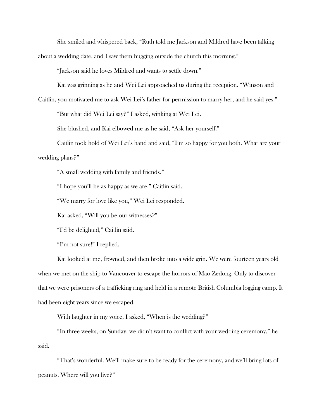She smiled and whispered back, "Ruth told me Jackson and Mildred have been talking about a wedding date, and I saw them hugging outside the church this morning."

"Jackson said he loves Mildred and wants to settle down."

Kai was grinning as he and Wei Lei approached us during the reception. "Winson and

Caitlin, you motivated me to ask Wei Lei's father for permission to marry her, and he said yes."

"But what did Wei Lei say?" I asked, winking at Wei Lei.

She blushed, and Kai elbowed me as he said, "Ask her yourself."

Caitlin took hold of Wei Lei's hand and said, "I'm so happy for you both. What are your wedding plans?"

"A small wedding with family and friends."

"I hope you'll be as happy as we are," Caitlin said.

"We marry for love like you," Wei Lei responded.

Kai asked, "Will you be our witnesses?"

"I'd be delighted," Caitlin said.

"I'm not sure!" I replied.

Kai looked at me, frowned, and then broke into a wide grin. We were fourteen years old when we met on the ship to Vancouver to escape the horrors of Mao Zedong. Only to discover that we were prisoners of a trafficking ring and held in a remote British Columbia logging camp. It had been eight years since we escaped.

With laughter in my voice, I asked, "When is the wedding?"

"In three weeks, on Sunday, we didn't want to conflict with your wedding ceremony," he said.

"That's wonderful. We'll make sure to be ready for the ceremony, and we'll bring lots of peanuts. Where will you live?"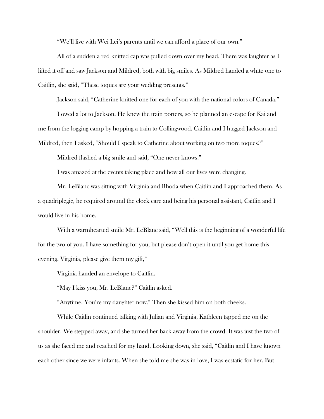"We'll live with Wei Lei's parents until we can afford a place of our own."

All of a sudden a red knitted cap was pulled down over my head. There was laughter as I lifted it off and saw Jackson and Mildred, both with big smiles. As Mildred handed a white one to Caitlin, she said, "These toques are your wedding presents."

Jackson said, "Catherine knitted one for each of you with the national colors of Canada."

I owed a lot to Jackson. He knew the train porters, so he planned an escape for Kai and me from the logging camp by hopping a train to Collingwood. Caitlin and I hugged Jackson and Mildred, then I asked, "Should I speak to Catherine about working on two more toques?"

Mildred flashed a big smile and said, "One never knows."

I was amazed at the events taking place and how all our lives were changing.

Mr. LeBlanc was sitting with Virginia and Rhoda when Caitlin and I approached them. As a quadriplegic, he required around the clock care and being his personal assistant, Caitlin and I would live in his home.

With a warmhearted smile Mr. LeBlanc said, "Well this is the beginning of a wonderful life for the two of you. I have something for you, but please don't open it until you get home this evening. Virginia, please give them my gift,"

Virginia handed an envelope to Caitlin.

"May I kiss you, Mr. LeBlanc?" Caitlin asked.

"Anytime. You're my daughter now." Then she kissed him on both cheeks.

While Caitlin continued talking with Julian and Virginia, Kathleen tapped me on the shoulder. We stepped away, and she turned her back away from the crowd. It was just the two of us as she faced me and reached for my hand. Looking down, she said, "Caitlin and I have known each other since we were infants. When she told me she was in love, I was ecstatic for her. But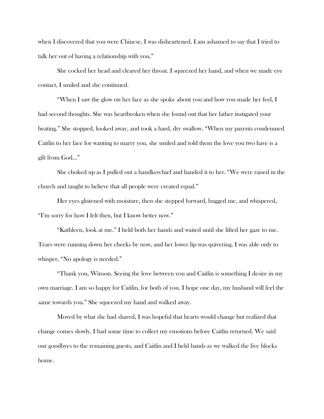when I discovered that you were Chinese, I was disheartened. I am ashamed to say that I tried to talk her out of having a relationship with you."

She cocked her head and cleared her throat. I squeezed her hand, and when we made eye contact, I smiled and she continued.

"When I saw the glow on her face as she spoke about you and how you made her feel, I had second thoughts. She was heartbroken when she found out that her father instigated your beating." She stopped, looked away, and took a hard, dry swallow. "When my parents condemned Caitlin to her face for wanting to marry you, she smiled and told them the love you two have is a gift from God…"

She choked up as I pulled out a handkerchief and handed it to her. "We were raised in the church and taught to believe that all people were created equal."

Her eyes glistened with moisture, then she stepped forward, hugged me, and whispered, "I'm sorry for how I felt then, but I know better now."

"Kathleen, look at me." I held both her hands and waited until she lifted her gaze to me. Tears were running down her cheeks by now, and her lower lip was quivering. I was able only to whisper, "No apology is needed."

"Thank you, Winson. Seeing the love between you and Caitlin is something I desire in my own marriage. I am so happy for Caitlin, for both of you. I hope one day, my husband will feel the same towards you." She squeezed my hand and walked away.

Moved by what she had shared, I was hopeful that hearts would change but realized that change comes slowly. I had some time to collect my emotions before Caitlin returned. We said our goodbyes to the remaining guests, and Caitlin and I held hands as we walked the five blocks home.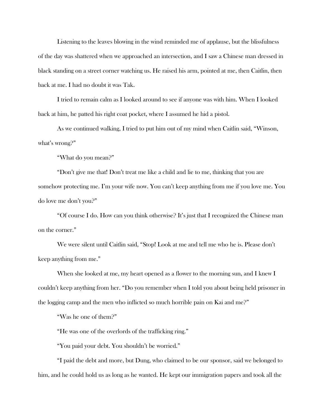Listening to the leaves blowing in the wind reminded me of applause, but the blissfulness of the day was shattered when we approached an intersection, and I saw a Chinese man dressed in black standing on a street corner watching us. He raised his arm, pointed at me, then Caitlin, then back at me. I had no doubt it was Tak.

I tried to remain calm as I looked around to see if anyone was with him. When I looked back at him, he patted his right coat pocket, where I assumed he hid a pistol.

As we continued walking, I tried to put him out of my mind when Caitlin said, "Winson, what's wrong?"

"What do you mean?"

"Don't give me that! Don't treat me like a child and lie to me, thinking that you are somehow protecting me. I'm your wife now. You can't keep anything from me if you love me. You do love me don't you?"

"Of course I do. How can you think otherwise? It's just that I recognized the Chinese man on the corner."

We were silent until Caitlin said, "Stop! Look at me and tell me who he is. Please don't keep anything from me."

When she looked at me, my heart opened as a flower to the morning sun, and I knew I couldn't keep anything from her. "Do you remember when I told you about being held prisoner in the logging camp and the men who inflicted so much horrible pain on Kai and me?"

"Was he one of them?"

"He was one of the overlords of the trafficking ring."

"You paid your debt. You shouldn't be worried."

"I paid the debt and more, but Dung, who claimed to be our sponsor, said we belonged to him, and he could hold us as long as he wanted. He kept our immigration papers and took all the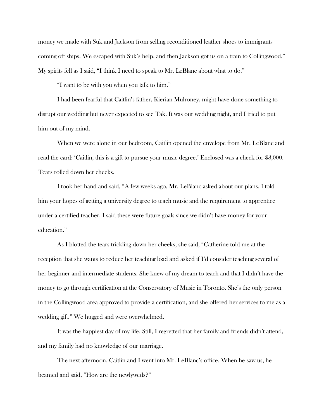money we made with Suk and Jackson from selling reconditioned leather shoes to immigrants coming off ships. We escaped with Suk's help, and then Jackson got us on a train to Collingwood." My spirits fell as I said, "I think I need to speak to Mr. LeBlanc about what to do."

"I want to be with you when you talk to him."

I had been fearful that Caitlin's father, Kierian Mulroney, might have done something to disrupt our wedding but never expected to see Tak. It was our wedding night, and I tried to put him out of my mind.

When we were alone in our bedroom, Caitlin opened the envelope from Mr. LeBlanc and read the card: 'Caitlin, this is a gift to pursue your music degree.' Enclosed was a check for \$3,000. Tears rolled down her cheeks.

I took her hand and said, "A few weeks ago, Mr. LeBlanc asked about our plans. I told him your hopes of getting a university degree to teach music and the requirement to apprentice under a certified teacher. I said these were future goals since we didn't have money for your education."

As I blotted the tears trickling down her cheeks, she said, "Catherine told me at the reception that she wants to reduce her teaching load and asked if I'd consider teaching several of her beginner and intermediate students. She knew of my dream to teach and that I didn't have the money to go through certification at the Conservatory of Music in Toronto. She's the only person in the Collingwood area approved to provide a certification, and she offered her services to me as a wedding gift." We hugged and were overwhelmed.

It was the happiest day of my life. Still, I regretted that her family and friends didn't attend, and my family had no knowledge of our marriage.

The next afternoon, Caitlin and I went into Mr. LeBlanc's office. When he saw us, he beamed and said, "How are the newlyweds?"